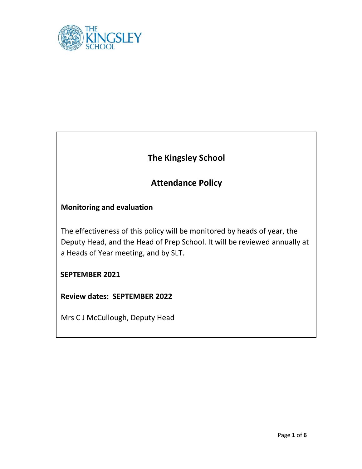

# **The Kingsley School**

# **Attendance Policy**

# **Monitoring and evaluation**

The effectiveness of this policy will be monitored by heads of year, the Deputy Head, and the Head of Prep School. It will be reviewed annually at a Heads of Year meeting, and by SLT.

# **SEPTEMBER 2021**

**Review dates: SEPTEMBER 2022**

Mrs C J McCullough, Deputy Head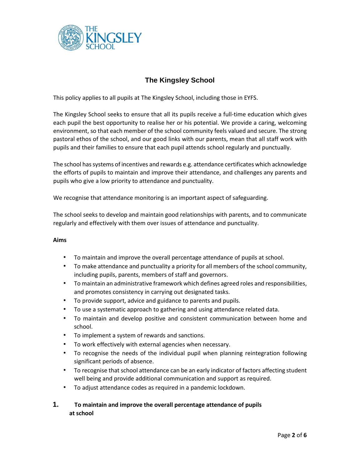

# **The Kingsley School**

This policy applies to all pupils at The Kingsley School, including those in EYFS.

The Kingsley School seeks to ensure that all its pupils receive a full-time education which gives each pupil the best opportunity to realise her or his potential. We provide a caring, welcoming environment, so that each member of the school community feels valued and secure. The strong pastoral ethos of the school, and our good links with our parents, mean that all staff work with pupils and their families to ensure that each pupil attends school regularly and punctually.

The school has systems of incentives and rewards e.g. attendance certificates which acknowledge the efforts of pupils to maintain and improve their attendance, and challenges any parents and pupils who give a low priority to attendance and punctuality.

We recognise that attendance monitoring is an important aspect of safeguarding.

The school seeks to develop and maintain good relationships with parents, and to communicate regularly and effectively with them over issues of attendance and punctuality.

#### **Aims**

- To maintain and improve the overall percentage attendance of pupils at school.
- To make attendance and punctuality a priority for all members of the school community, including pupils, parents, members of staff and governors.
- To maintain an administrative framework which defines agreed roles and responsibilities, and promotes consistency in carrying out designated tasks.
- To provide support, advice and guidance to parents and pupils.
- To use a systematic approach to gathering and using attendance related data.
- To maintain and develop positive and consistent communication between home and school.
- To implement a system of rewards and sanctions.
- To work effectively with external agencies when necessary.
- To recognise the needs of the individual pupil when planning reintegration following significant periods of absence.
- To recognise that school attendance can be an early indicator of factors affecting student well being and provide additional communication and support as required.
- To adjust attendance codes as required in a pandemic lockdown.

#### **1. To maintain and improve the overall percentage attendance of pupils at school**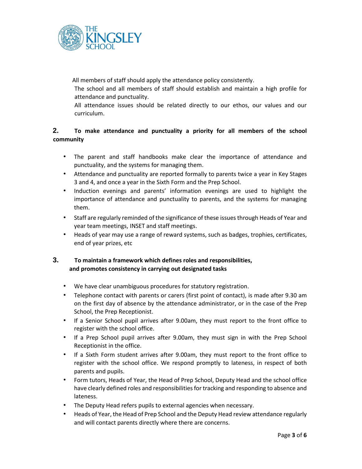

All members of staff should apply the attendance policy consistently.

The school and all members of staff should establish and maintain a high profile for attendance and punctuality.

All attendance issues should be related directly to our ethos, our values and our curriculum.

## **2. To make attendance and punctuality a priority for all members of the school community**

- The parent and staff handbooks make clear the importance of attendance and punctuality, and the systems for managing them.
- Attendance and punctuality are reported formally to parents twice a year in Key Stages 3 and 4, and once a year in the Sixth Form and the Prep School.
- Induction evenings and parents' information evenings are used to highlight the importance of attendance and punctuality to parents, and the systems for managing them.
- Staff are regularly reminded of the significance of these issues through Heads of Year and year team meetings, INSET and staff meetings.
- Heads of year may use a range of reward systems, such as badges, trophies, certificates, end of year prizes, etc

## **3. To maintain a framework which defines roles and responsibilities, and promotes consistency in carrying out designated tasks**

- We have clear unambiguous procedures for statutory registration.
- Telephone contact with parents or carers (first point of contact), is made after 9.30 am on the first day of absence by the attendance administrator, or in the case of the Prep School, the Prep Receptionist.
- If a Senior School pupil arrives after 9.00am, they must report to the front office to register with the school office.
- If a Prep School pupil arrives after 9.00am, they must sign in with the Prep School Receptionist in the office.
- If a Sixth Form student arrives after 9.00am, they must report to the front office to register with the school office. We respond promptly to lateness, in respect of both parents and pupils.
- Form tutors, Heads of Year, the Head of Prep School, Deputy Head and the school office have clearly defined roles and responsibilities for tracking and responding to absence and lateness.
- The Deputy Head refers pupils to external agencies when necessary.
- Heads of Year, the Head of Prep School and the Deputy Head review attendance regularly and will contact parents directly where there are concerns.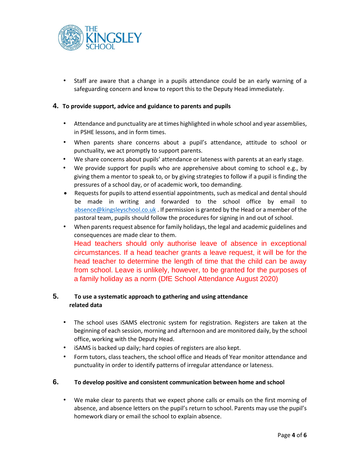

• Staff are aware that a change in a pupils attendance could be an early warning of a safeguarding concern and know to report this to the Deputy Head immediately.

#### **4. To provide support, advice and guidance to parents and pupils**

- Attendance and punctuality are at times highlighted in whole school and year assemblies, in PSHE lessons, and in form times.
- When parents share concerns about a pupil's attendance, attitude to school or punctuality, we act promptly to support parents.
- We share concerns about pupils' attendance or lateness with parents at an early stage.
- We provide support for pupils who are apprehensive about coming to school e.g., by giving them a mentor to speak to, or by giving strategies to follow if a pupil is finding the pressures of a school day, or of academic work, too demanding.
- Requests for pupils to attend essential appointments, such as medical and dental should be made in writing and forwarded to the school office by email to [absence@kingsleyschool.co.uk](mailto:absence@kingsleyschool.co.uk) . If permission is granted by the Head or a member of the pastoral team, pupils should follow the procedures for signing in and out of school.
- When parents request absence for family holidays, the legal and academic guidelines and consequences are made clear to them. Head teachers should only authorise leave of absence in exceptional circumstances. If a head teacher grants a leave request, it will be for the head teacher to determine the length of time that the child can be away from school. Leave is unlikely, however, to be granted for the purposes of a family holiday as a norm (DfE School Attendance August 2020)

## **5. To use a systematic approach to gathering and using attendance related data**

- The school uses iSAMS electronic system for registration. Registers are taken at the beginning of each session, morning and afternoon and are monitored daily, by the school office, working with the Deputy Head.
- iSAMS is backed up daily; hard copies of registers are also kept.
- Form tutors, class teachers, the school office and Heads of Year monitor attendance and punctuality in order to identify patterns of irregular attendance or lateness.

#### **6. To develop positive and consistent communication between home and school**

• We make clear to parents that we expect phone calls or emails on the first morning of absence, and absence letters on the pupil's return to school. Parents may use the pupil's homework diary or email the school to explain absence.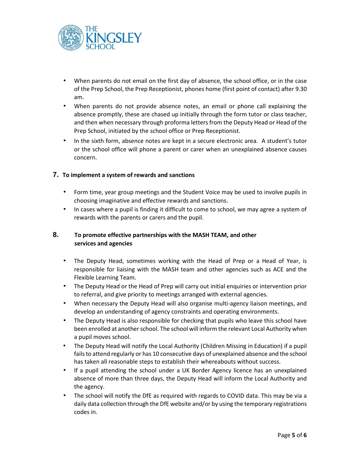

- When parents do not email on the first day of absence, the school office, or in the case of the Prep School, the Prep Receptionist, phones home (first point of contact) after 9.30 am.
- When parents do not provide absence notes, an email or phone call explaining the absence promptly, these are chased up initially through the form tutor or class teacher, and then when necessary through proforma letters from the Deputy Head or Head of the Prep School, initiated by the school office or Prep Receptionist.
- In the sixth form, absence notes are kept in a secure electronic area. A student's tutor or the school office will phone a parent or carer when an unexplained absence causes concern.

#### **7. To implement a system of rewards and sanctions**

- Form time, year group meetings and the Student Voice may be used to involve pupils in choosing imaginative and effective rewards and sanctions.
- In cases where a pupil is finding it difficult to come to school, we may agree a system of rewards with the parents or carers and the pupil.

## **8. To promote effective partnerships with the MASH TEAM, and other services and agencies**

- The Deputy Head, sometimes working with the Head of Prep or a Head of Year, is responsible for liaising with the MASH team and other agencies such as ACE and the Flexible Learning Team.
- The Deputy Head or the Head of Prep will carry out initial enquiries or intervention prior to referral, and give priority to meetings arranged with external agencies.
- When necessary the Deputy Head will also organise multi-agency liaison meetings, and develop an understanding of agency constraints and operating environments.
- The Deputy Head is also responsible for checking that pupils who leave this school have been enrolled at another school. The school will inform the relevant Local Authority when a pupil moves school.
- The Deputy Head will notify the Local Authority (Children Missing in Education) if a pupil fails to attend regularly or has 10 consecutive days of unexplained absence and the school has taken all reasonable steps to establish their whereabouts without success.
- If a pupil attending the school under a UK Border Agency licence has an unexplained absence of more than three days, the Deputy Head will inform the Local Authority and the agency.
- The school will notify the DfE as required with regards to COVID data. This may be via a daily data collection through the DfE website and/or by using the temporary registrations codes in.